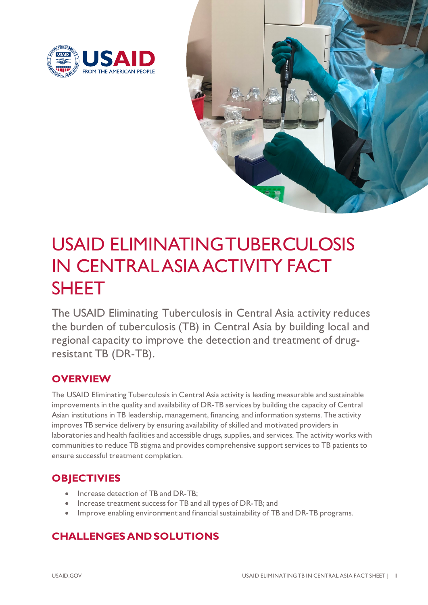



# USAID ELIMINATING TUBERCULOSIS IN CENTRAL ASIA ACTIVITY FACT SHEET

The USAID Eliminating Tuberculosis in Central Asia activity reduces the burden of tuberculosis (TB) in Central Asia by building local and regional capacity to improve the detection and treatment of drugresistant TB (DR-TB).

# **OVERVIEW**

The USAID Eliminating Tuberculosis in Central Asia activity is leading measurable and sustainable improvements in the quality and availability of DR-TB services by building the capacity of Central Asian institutions in TB leadership, management, financing, and information systems. The activity improves TB service delivery by ensuring availability of skilled and motivated providers in laboratories and health facilities and accessible drugs, supplies, and services. The activity works with communities to reduce TB stigma and provides comprehensive support services to TB patients to ensure successful treatment completion.

# **OBJECTIVIES**

- Increase detection of TB and DR-TB;
- Increase treatment success for TB and all types of DR-TB; and
- Improve enabling environment and financial sustainability of TB and DR-TB programs.

# **CHALLENGES AND SOLUTIONS**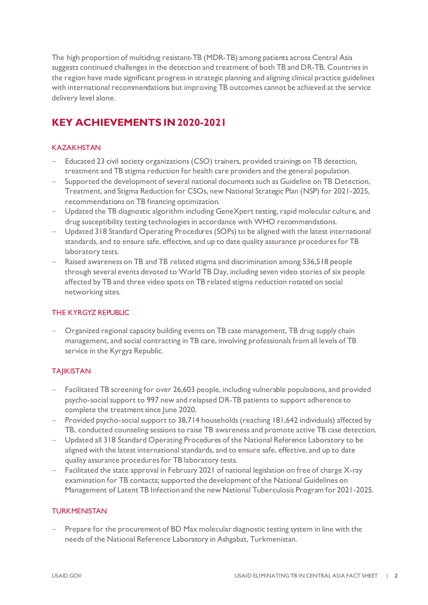The high proportion of multidrug resistant-TB (MDR-TB) among patients across Central Asia suggests continued challenges in the detection and treatment of both TB and DR-TB. Countries in the region have made significant progress in strategic planning and aligning clinical practice guidelines with international recommendations but improving TB outcomes cannot be achieved at the service delivery level alone.

# **KEY ACHIEVEMENTS IN 2020-2021**

### KAZAKHSTAN

- Educated 23 civil society organizations (CSO) trainers, provided trainings on TB detection, treatment and TB stigma reduction for health care providers and the general population.
- Supported the development of several national documents such as Guideline on TB Detection, Treatment, and Stigma Reduction for CSOs, new National Strategic Plan (NSP) for 2021-2025, recommendations on TB financing optimization.
- − Updated the TB diagnostic algorithm including GeneXpert testing, rapid molecular culture, and drug susceptibility testing technologies in accordance with WHO recommendations.
- − Updated 318 Standard Operating Procedures (SOPs) to be aligned with the latest international standards, and to ensure safe, effective, and up to date quality assurance procedures for TB laboratory tests.
- − Raised awareness on TB and TB related stigma and discrimination among 536,518 people through several events devoted to World TB Day, including seven video stories of six people affected by TB and three video spots on TB related stigma reduction rotated on social networking sites.

#### THE KYRGYZ REPUBLIC

− Organized regional capacity building events on TB case management, TB drug supply chain management, and social contracting in TB care, involving professionals from all levels of TB service in the Kyrgyz Republic.

## **TAJIKISTAN**

- − Facilitated TB screening for over 26,603 people, including vulnerable populations, and provided psycho-social support to 997 new and relapsed DR-TB patients to support adherence to complete the treatment since June 2020.
- − Provided psycho-social support to 38,714 households (reaching 181,642 individuals) affected by TB, conducted counseling sessions to raise TB awareness and promote active TB case detection.
- − Updated all 318 Standard Operating Procedures of the National Reference Laboratory to be aligned with the latest international standards, and to ensure safe, effective, and up to date quality assurance procedures for TB laboratory tests.
- − Facilitated the state approval in February 2021 of national legislation on free of charge X-ray examination for TB contacts; supported the development of the National Guidelines on Management of Latent TB Infection and the new National Tuberculosis Program for 2021-2025.

#### **TURKMENISTAN**

Prepare for the procurement of BD Max molecular diagnostic testing system in line with the needs of the National Reference Laboratory in Ashgabat, Turkmenistan.